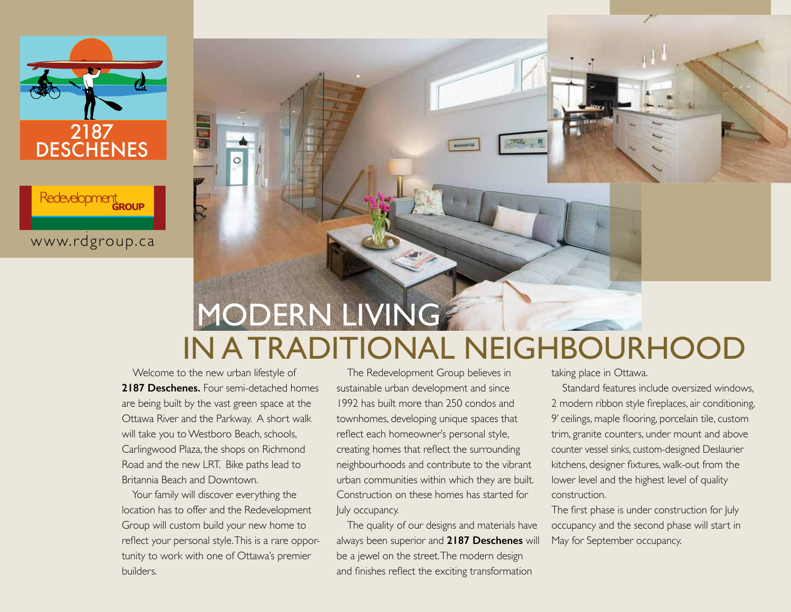

Redevelopment

www.rdgroup.ca **www.rdgroup.ca**



# IN A TRADITIONAL NEIGHBOURHOOD

 Welcome to the new urban lifestyle of **2187 Deschenes.** Four semi-detached homes are being built by the vast green space at the Ottawa River and the Parkway. A short walk will take you to Westboro Beach, schools, Carlingwood Plaza, the shops on Richmond Road and the new LRT. Bike paths lead to Britannia Beach and Downtown.

 Your family will discover everything the location has to offer and the Redevelopment Group will custom build your new home to reflect your personal style. This is a rare opportunity to work with one of Ottawa's premier builders.

 The Redevelopment Group believes in sustainable urban development and since 1992 has built more than 250 condos and townhomes, developing unique spaces that reflect each homeowner's personal style, creating homes that reflect the surrounding neighbourhoods and contribute to the vibrant urban communities within which they are built. Construction on these homes has started for July occupancy.

 The quality of our designs and materials have always been superior and **2187 Deschenes** will be a jewel on the street. The modern design and finishes reflect the exciting transformation

taking place in Ottawa.

 Standard features include oversized windows, 2 modern ribbon style fireplaces, air conditioning, 9' ceilings, maple flooring, porcelain tile, custom trim, granite counters, under mount and above counter vessel sinks, custom-designed Deslaurier kitchens, designer fixtures, walk-out from the lower level and the highest level of quality construction.

The first phase is under construction for July occupancy and the second phase will start in May for September occupancy.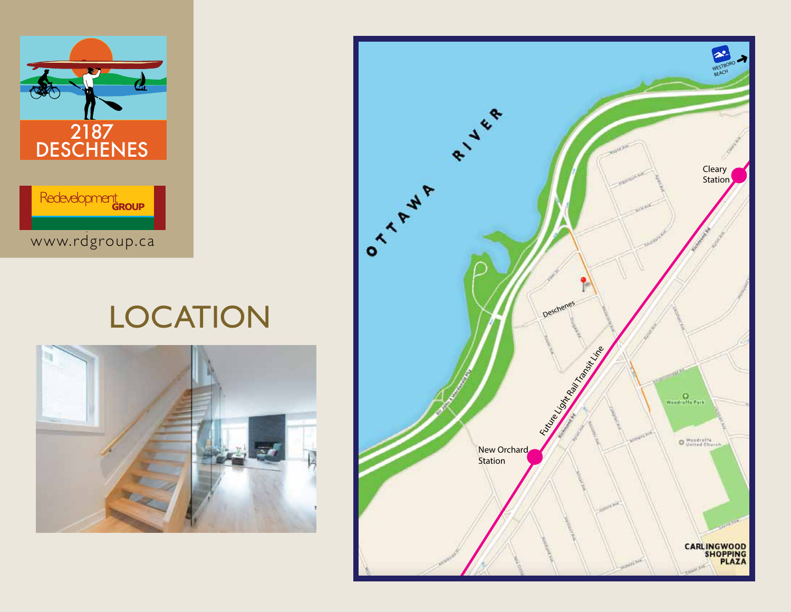

## **LOCATION**



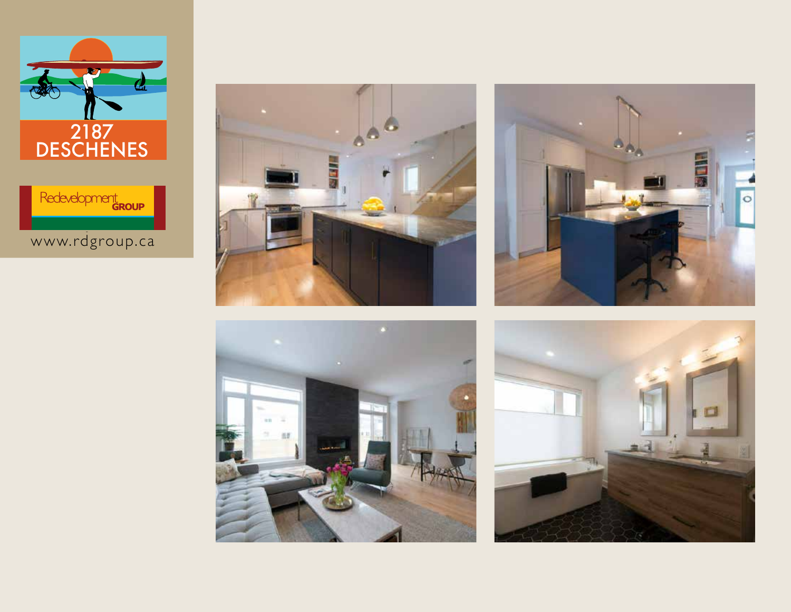









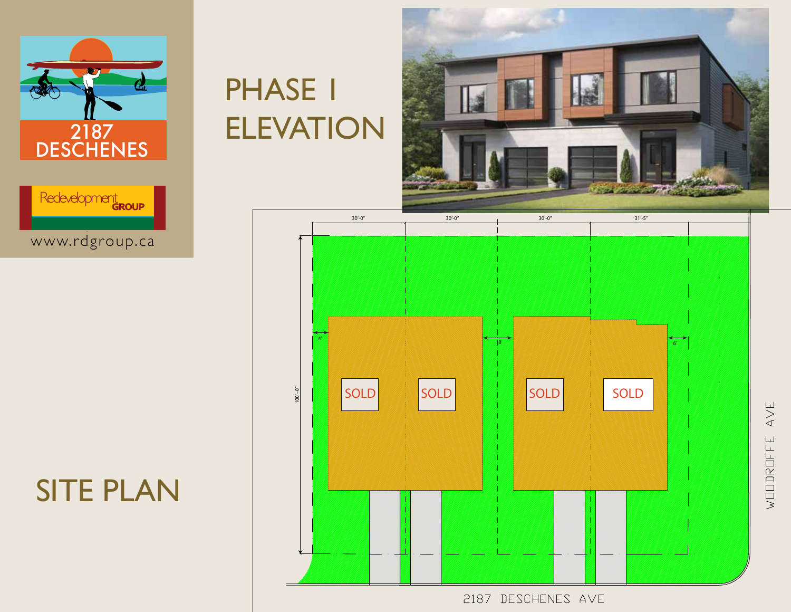



### SITE PLAN

## PHASE 1 ELEVATION





2187 DESCHENES AVE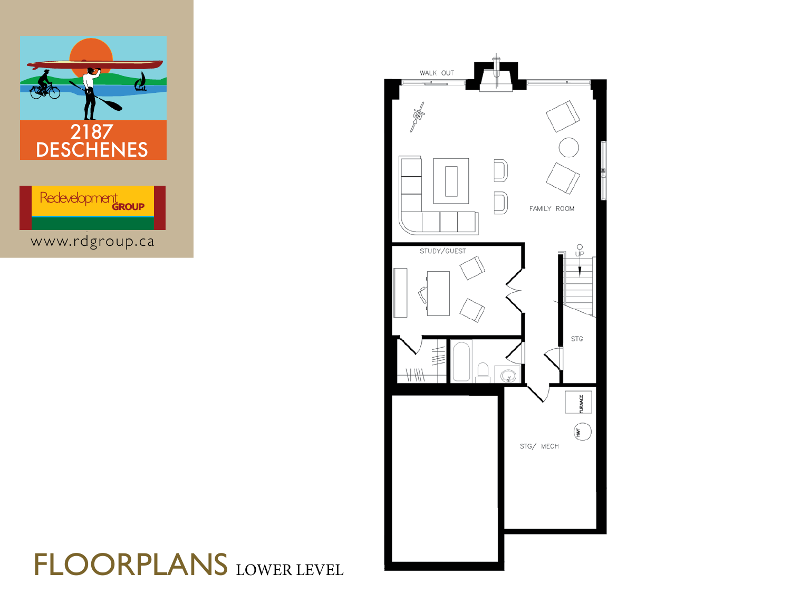



### FLOORPLANS LOWER LEVEL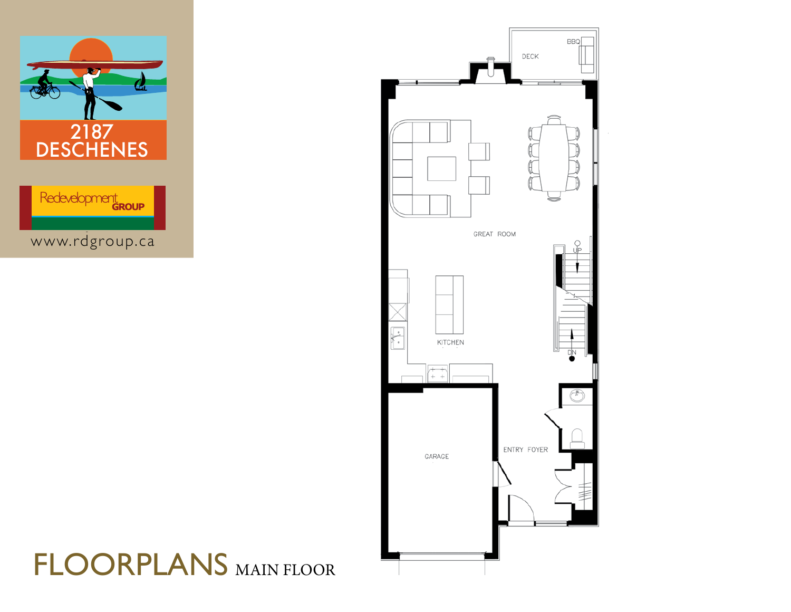



### FLOORPLANS MAIN FLOOR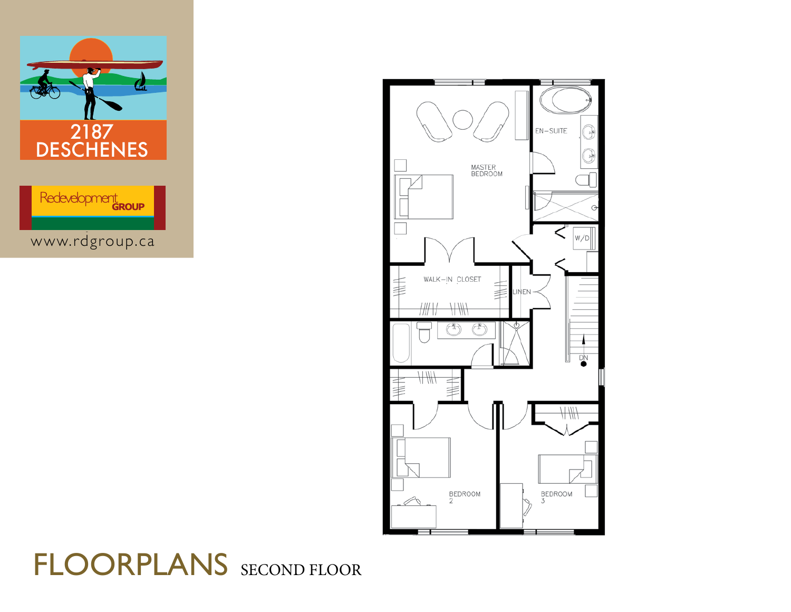



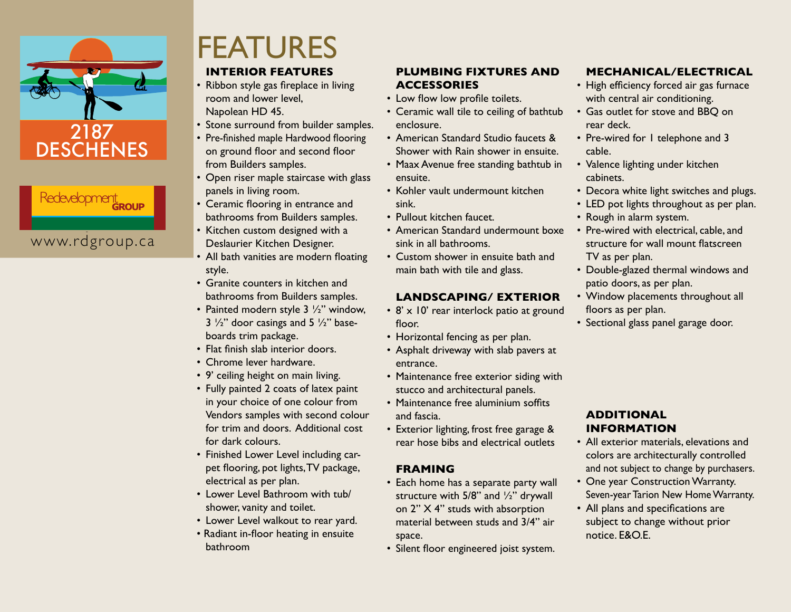

# Redevelopment

#### www.rdgroup.ca **www.rdgroup.ca**

## FEATURES

#### **INTERIOR FEATURES**

- Ribbon style gas fireplace in living room and lower level, Napolean HD 45.
- Stone surround from builder samples.
- Pre-finished maple Hardwood flooring on ground floor and second floor from Builders samples.
- Open riser maple staircase with glass panels in living room.
- Ceramic flooring in entrance and bathrooms from Builders samples.
- Kitchen custom designed with a Deslaurier Kitchen Designer.
- All bath vanities are modern floating style.
- Granite counters in kitchen and bathrooms from Builders samples.
- Painted modern style  $3\frac{1}{2}$ " window,  $3\frac{1}{2}$ " door casings and  $5\frac{1}{2}$ " baseboards trim package.
- Flat finish slab interior doors.
- Chrome lever hardware.
- 9' ceiling height on main living.
- Fully painted 2 coats of latex paint in your choice of one colour from Vendors samples with second colour for trim and doors. Additional cost for dark colours.
- Finished Lower Level including carpet flooring, pot lights,TV package, electrical as per plan.
- • Lower Level Bathroom with tub/ shower, vanity and toilet.
- Lower Level walkout to rear yard.
- Radiant in-floor heating in ensuite bathroom

#### **PLUMBING FIXTURES AND ACCESSORIES**

- Low flow low profile toilets.
- Ceramic wall tile to ceiling of bathtub enclosure.
- American Standard Studio faucets & Shower with Rain shower in ensuite.
- Maax Avenue free standing bathtub in ensuite.
- Kohler vault undermount kitchen sink.
- Pullout kitchen faucet.
- American Standard undermount boxe sink in all bathrooms.
- Custom shower in ensuite bath and main bath with tile and glass.

#### **LANDSCAPING/ EXTERIOR**

- 8' x 10' rear interlock patio at ground floor.
- Horizontal fencing as per plan.
- Asphalt driveway with slab pavers at entrance.
- Maintenance free exterior siding with stucco and architectural panels.
- Maintenance free aluminium soffits and fascia.
- Exterior lighting, frost free garage & rear hose bibs and electrical outlets

#### **FRAMING**

- Each home has a separate party wall structure with 5/8" and ½" drywall on 2" X 4" studs with absorption material between studs and 3/4" air space.
- • Silent floor engineered joist system.

#### **MECHANICAL/ELECTRICAL**

- High efficiency forced air gas furnace with central air conditioning.
- Gas outlet for stove and BBQ on rear deck.
- Pre-wired for 1 telephone and 3 cable.
- Valence lighting under kitchen cabinets.
- Decora white light switches and plugs.
- LED pot lights throughout as per plan.
- Rough in alarm system.
- Pre-wired with electrical, cable, and structure for wall mount flatscreen TV as per plan.
- Double-glazed thermal windows and patio doors, as per plan.
- Window placements throughout all floors as per plan.
- Sectional glass panel garage door.

#### **ADDITIONAL INFORMATION**

- All exterior materials, elevations and colors are architecturally controlled and not subject to change by purchasers.
- One year Construction Warranty. Seven-year Tarion New Home Warranty.
- All plans and specifications are subject to change without prior notice. E&O.E.